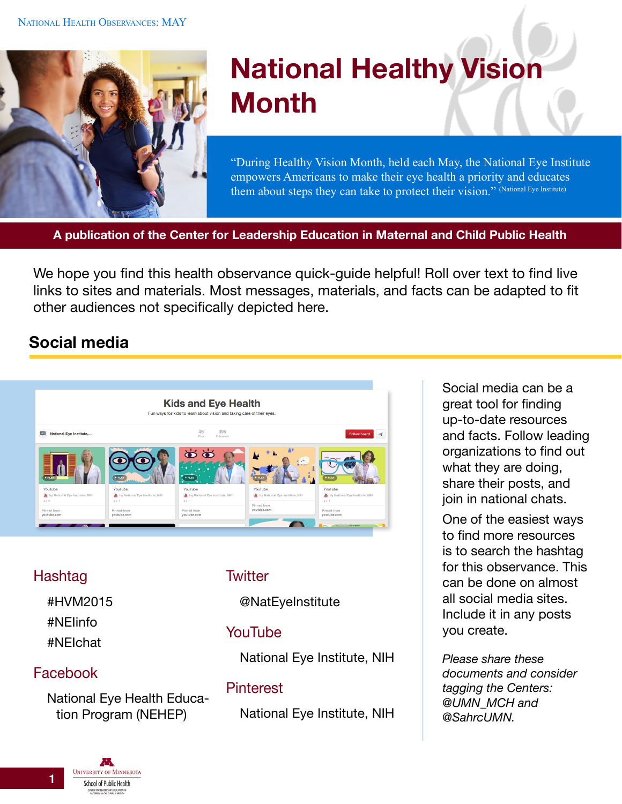

# **National Healthy Vision Month**

"During Healthy Vision Month, held each May, the National Eye Institute empowers Americans to make their eye health a priority and educates them about steps they can take to protect their vision." (National Eye Institute)

**A publication of the Center for Leadership Education in Maternal and Child Public Health**

We hope you find this health observance quick-guide helpful! Roll over text to find live links to sites and materials. Most messages, materials, and facts can be adapted to fit other audiences not specifically depicted here.

# **Social media**



## Hashtag

#HVM2015 #NEIinfo #NEIchat

## Facebook

[National Eye Health Educa](https://www.facebook.com/NationalEyeHealthEducationProgram)[tion Program \(NEHEP\)](https://www.facebook.com/NationalEyeHealthEducationProgram)

#### **Twitter**

[@NatEyeInstitute](https://twitter.com/NatEyeInstitute)

## YouTube

[National Eye Institute, NIH](https://www.youtube.com/user/neinih)

#### **Pinterest**

[National Eye Institute, NIH](https://www.pinterest.com/neinih/)

Social media can be a great tool for finding up-to-date resources and facts. Follow leading organizations to find out what they are doing, share their posts, and join in national chats.

One of the easiest ways to find more resources is to search the hashtag for this observance. This can be done on almost all social media sites. Include it in any posts you create.

*Please share these documents and consider tagging the Centers: [@UMN\\_MCH](https://twitter.com/UMN_MCH) and [@SahrcUMN.](https://twitter.com/SahrcUMN)*